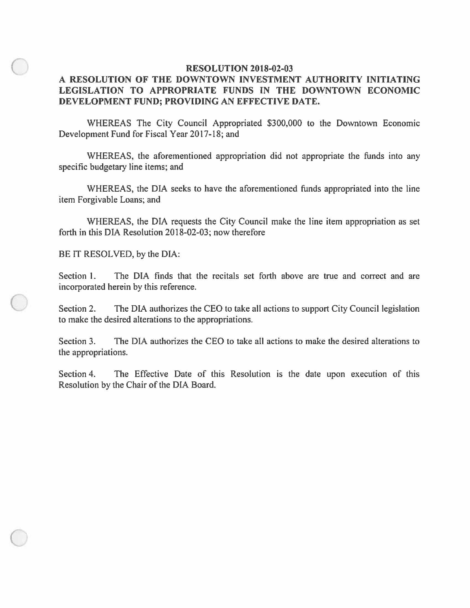## **RESOLUTION 2018-02-03**

## **A RESOLUTION OF THE DOWNTOWN INVESTMENT AUTHORITY INITIATING LEGISLATION TO APPROPRIATE FUNDS IN THE DOWNTOWN ECONOMIC DEVELOPMENT FUND; PROVIDING AN EFFECTIVE DATE.**

WHEREAS The City Council Appropriated \$300,000 to the Downtown Economic Development Fund for Fiscal Year 2017-18; and

WHEREAS, the aforementioned appropriation did not appropriate the funds into any specific budgetary line items; and

WHEREAS, the DIA seeks to have the aforementioned funds appropriated into the line item Forgivable Loans; and

WHEREAS, the DIA requests the City Council make the line item appropriation as set forth in this DIA Resolution 2018-02-03; now therefore

BE IT RESOLVED, by the DIA:

 $\bigcirc$ 

 $\bigcirc$ 

Section I. The DIA finds that the recitals set forth above are true and correct and are incorporated herein by this reference.

Section 2. The DIA authorizes the CEO to take all actions to support City Council legislation to make the desired alterations to the appropriations.

Section 3. The DIA authorizes the CEO to take all actions to make the desired alterations to the appropriations.

Section 4. The Effective Date of this Resolution is the date upon execution of this Resolution by the Chair of the DIA Board.